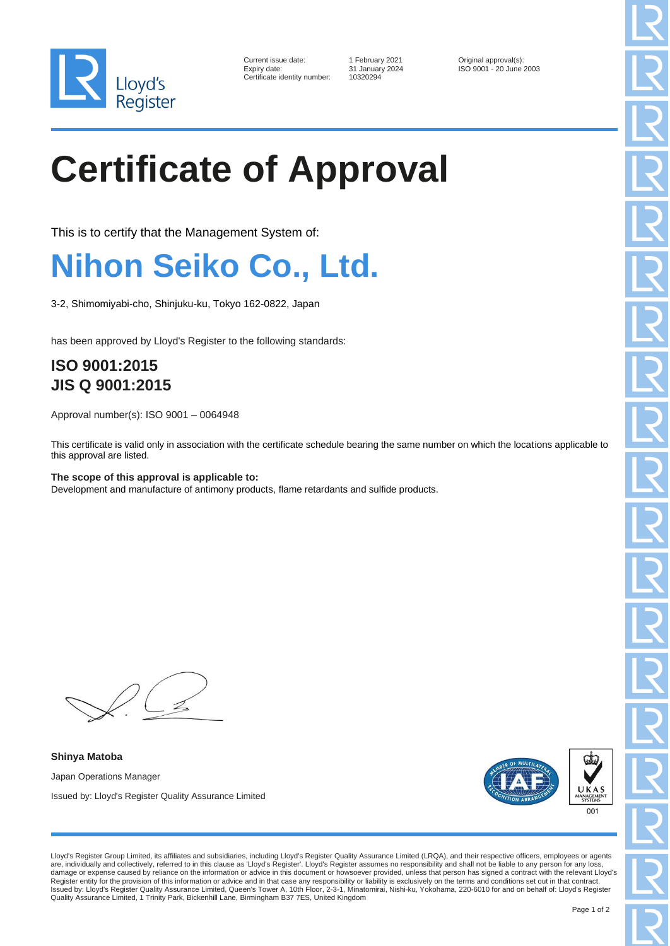

| Current issue date:        |
|----------------------------|
| Expiry date:               |
| Certificate identity numbe |

er: 10320294

1 February 2021 **Current Contains Container Contains 1** Go 9001 - 20 June ISO 9001 - 20 June 2003

# **Certificate of Approval**

This is to certify that the Management System of:

### **Nihon Seiko Co., Ltd.**

3-2, Shimomiyabi-cho, Shinjuku-ku, Tokyo 162-0822, Japan

has been approved by Lloyd's Register to the following standards:

### **ISO 9001:2015 JIS Q 9001:2015**

Approval number(s): ISO 9001 – 0064948

This certificate is valid only in association with the certificate schedule bearing the same number on which the locations applicable to this approval are listed.

**The scope of this approval is applicable to:** Development and manufacture of antimony products, flame retardants and sulfide products.

**Shinya Matoba** Japan Operations Manager Issued by: Lloyd's Register Quality Assurance Limited



Lloyd's Register Group Limited, its affiliates and subsidiaries, including Lloyd's Register Quality Assurance Limited (LRQA), and their respective officers, employees or agents are, individually and collectively, referred to in this clause as 'Lloyd's Register'. Lloyd's Register assumes no responsibility and shall not be liable to any person for any loss, damage or expense caused by reliance on the information or advice in this document or howsoever provided, unless that person has signed a contract with the relevant Lloyd's Register entity for the provision of this information or advice and in that case any responsibility or liability is exclusively on the terms and conditions set out in that contract.<br>Issued by: Lloyd's Register Quality Assu Quality Assurance Limited, 1 Trinity Park, Bickenhill Lane, Birmingham B37 7ES, United Kingdom